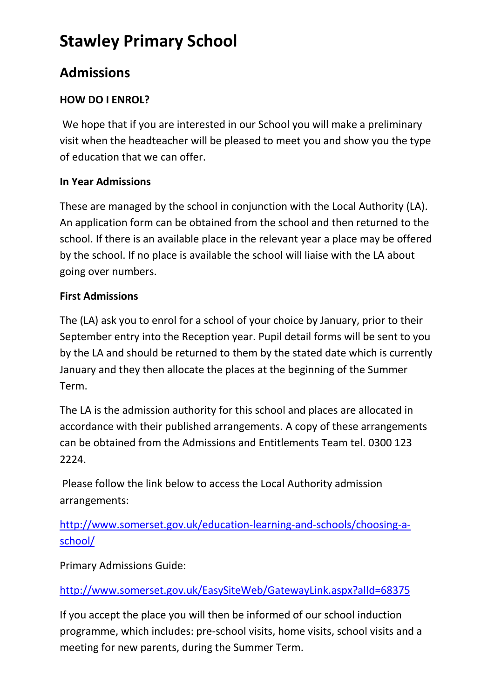# **Stawley Primary School**

## **Admissions**

### **HOW DO I ENROL?**

We hope that if you are interested in our School you will make a preliminary visit when the headteacher will be pleased to meet you and show you the type of education that we can offer.

#### **In Year Admissions**

These are managed by the school in conjunction with the Local Authority (LA). An application form can be obtained from the school and then returned to the school. If there is an available place in the relevant year a place may be offered by the school. If no place is available the school will liaise with the LA about going over numbers.

#### **First Admissions**

The (LA) ask you to enrol for a school of your choice by January, prior to their September entry into the Reception year. Pupil detail forms will be sent to you by the LA and should be returned to them by the stated date which is currently January and they then allocate the places at the beginning of the Summer Term.

The LA is the admission authority for this school and places are allocated in accordance with their published arrangements. A copy of these arrangements can be obtained from the Admissions and Entitlements Team tel. 0300 123 2224.

Please follow the link below to access the Local Authority admission arrangements:

[http://www.somerset.gov.uk/education-learning-and-schools/choosing-a](http://www.somerset.gov.uk/education-learning-and-schools/choosing-a-school/)[school/](http://www.somerset.gov.uk/education-learning-and-schools/choosing-a-school/)

Primary Admissions Guide:

<http://www.somerset.gov.uk/EasySiteWeb/GatewayLink.aspx?alId=68375>

If you accept the place you will then be informed of our school induction programme, which includes: pre-school visits, home visits, school visits and a meeting for new parents, during the Summer Term.